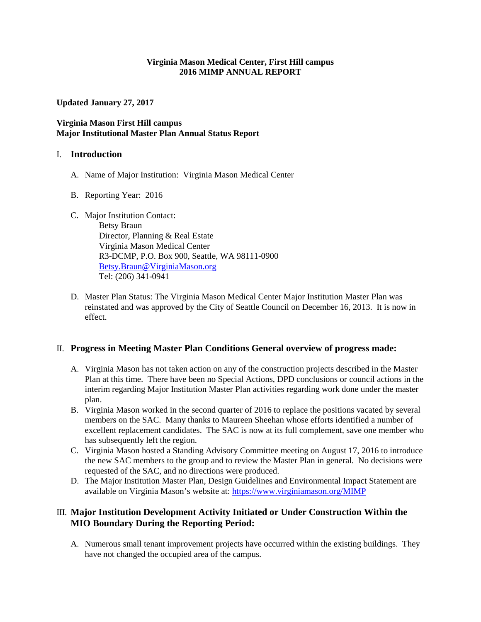#### **Virginia Mason Medical Center, First Hill campus 2016 MIMP ANNUAL REPORT**

**Updated January 27, 2017**

## **Virginia Mason First Hill campus Major Institutional Master Plan Annual Status Report**

#### I. **Introduction**

- A. Name of Major Institution: Virginia Mason Medical Center
- B. Reporting Year: 2016
- C. Major Institution Contact:

Betsy Braun Director, Planning & Real Estate Virginia Mason Medical Center R3-DCMP, P.O. Box 900, Seattle, WA 98111-0900 [Betsy.Braun@VirginiaMason.org](mailto:Betsy.Braun@VirginiaMason.org)  Tel: (206) 341-0941

D. Master Plan Status: The Virginia Mason Medical Center Major Institution Master Plan was reinstated and was approved by the City of Seattle Council on December 16, 2013. It is now in effect.

# II. **Progress in Meeting Master Plan Conditions General overview of progress made:**

- A. Virginia Mason has not taken action on any of the construction projects described in the Master Plan at this time. There have been no Special Actions, DPD conclusions or council actions in the interim regarding Major Institution Master Plan activities regarding work done under the master plan.
- B. Virginia Mason worked in the second quarter of 2016 to replace the positions vacated by several members on the SAC. Many thanks to Maureen Sheehan whose efforts identified a number of excellent replacement candidates. The SAC is now at its full complement, save one member who has subsequently left the region.
- C. Virginia Mason hosted a Standing Advisory Committee meeting on August 17, 2016 to introduce the new SAC members to the group and to review the Master Plan in general. No decisions were requested of the SAC, and no directions were produced.
- D. The Major Institution Master Plan, Design Guidelines and Environmental Impact Statement are available on Virginia Mason's website at:<https://www.virginiamason.org/MIMP>

# III. **Major Institution Development Activity Initiated or Under Construction Within the MIO Boundary During the Reporting Period:**

A. Numerous small tenant improvement projects have occurred within the existing buildings. They have not changed the occupied area of the campus.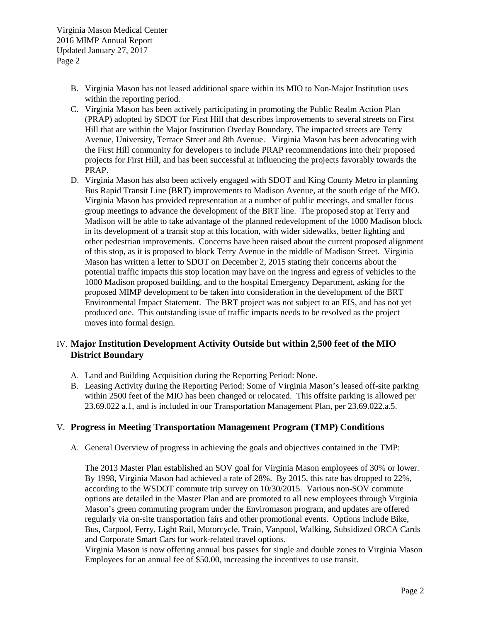- B. Virginia Mason has not leased additional space within its MIO to Non-Major Institution uses within the reporting period.
- C. Virginia Mason has been actively participating in promoting the Public Realm Action Plan (PRAP) adopted by SDOT for First Hill that describes improvements to several streets on First Hill that are within the Major Institution Overlay Boundary. The impacted streets are Terry Avenue, University, Terrace Street and 8th Avenue. Virginia Mason has been advocating with the First Hill community for developers to include PRAP recommendations into their proposed projects for First Hill, and has been successful at influencing the projects favorably towards the PRAP.
- D. Virginia Mason has also been actively engaged with SDOT and King County Metro in planning Bus Rapid Transit Line (BRT) improvements to Madison Avenue, at the south edge of the MIO. Virginia Mason has provided representation at a number of public meetings, and smaller focus group meetings to advance the development of the BRT line. The proposed stop at Terry and Madison will be able to take advantage of the planned redevelopment of the 1000 Madison block in its development of a transit stop at this location, with wider sidewalks, better lighting and other pedestrian improvements. Concerns have been raised about the current proposed alignment of this stop, as it is proposed to block Terry Avenue in the middle of Madison Street. Virginia Mason has written a letter to SDOT on December 2, 2015 stating their concerns about the potential traffic impacts this stop location may have on the ingress and egress of vehicles to the 1000 Madison proposed building, and to the hospital Emergency Department, asking for the proposed MIMP development to be taken into consideration in the development of the BRT Environmental Impact Statement. The BRT project was not subject to an EIS, and has not yet produced one. This outstanding issue of traffic impacts needs to be resolved as the project moves into formal design.

# IV. **Major Institution Development Activity Outside but within 2,500 feet of the MIO District Boundary**

- A. Land and Building Acquisition during the Reporting Period: None.
- B. Leasing Activity during the Reporting Period: Some of Virginia Mason's leased off-site parking within 2500 feet of the MIO has been changed or relocated. This offsite parking is allowed per 23.69.022 a.1, and is included in our Transportation Management Plan, per 23.69.022.a.5.

# V. **Progress in Meeting Transportation Management Program (TMP) Conditions**

A. General Overview of progress in achieving the goals and objectives contained in the TMP:

The 2013 Master Plan established an SOV goal for Virginia Mason employees of 30% or lower. By 1998, Virginia Mason had achieved a rate of 28%. By 2015, this rate has dropped to 22%, according to the WSDOT commute trip survey on 10/30/2015. Various non-SOV commute options are detailed in the Master Plan and are promoted to all new employees through Virginia Mason's green commuting program under the Enviromason program, and updates are offered regularly via on-site transportation fairs and other promotional events. Options include Bike, Bus, Carpool, Ferry, Light Rail, Motorcycle, Train, Vanpool, Walking, Subsidized ORCA Cards and Corporate Smart Cars for work-related travel options.

Virginia Mason is now offering annual bus passes for single and double zones to Virginia Mason Employees for an annual fee of \$50.00, increasing the incentives to use transit.